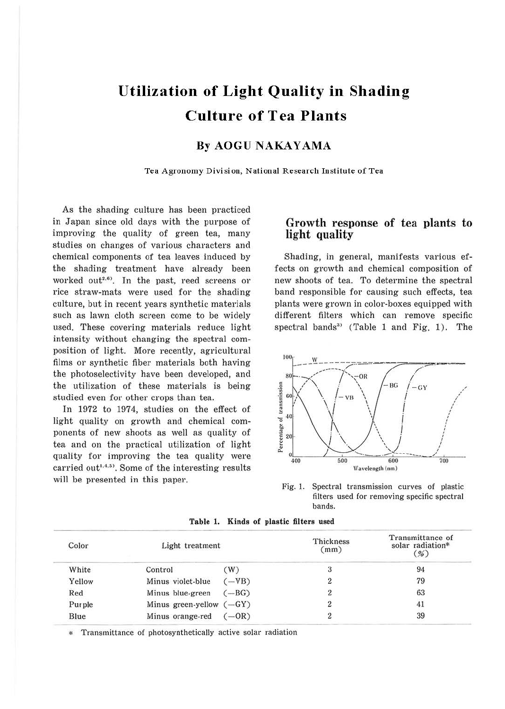# **Utilization of Light Quality in Shading Culture of Tea Plants**

## **By AOGU NAKAYAMA**

Tea Agronomy Division, National Research Institute of Tea

As the shading culture has been practiced in Japan since old days with the purpose of improving the quality of green tea, many studies on changes of various characters and chemical components of tea leaves induced by the shading treatment have already been worked out<sup>2,6</sup>). In the past, reed screens or rice straw-mats were used for the shading culture, but in recent years synthetic materials such as lawn cloth screen come to be widely used. These covering materials reduce light intensity without changing the spectral composition of light. More recently, agricultural films or synthetic fiber materials both having the photoselectivity have been developed, and the utilization of these materials is being studied even for other crops than tea.

In 1972 to 1974, studies on the effect of light quality on growth and chemical components of new shoots as well as quality of tea and on the practical utilization of light quality for improving the tea quality were carried out<sup>1,4,5</sup>. Some of the interesting results will be presented in this paper.

## **Growth response of tea plants to light quality**

Shading, in general, manifests various effects on growth and chemical composition of new shoots of tea. To determine the spectral band responsible for causing such effects, tea plants were grown in color-boxes equipped with different filters which can remove specific spectral bands<sup>3</sup> (Table 1 and Fig. 1). The



Fig. 1. Spectral transmission curves of plastic filters used for removing specific spectral bands.

| Color  | Light treatment            |         | Thickness<br>(mm) | Transmittance of<br>solar radiation*<br>$\frac{9}{0}$ |
|--------|----------------------------|---------|-------------------|-------------------------------------------------------|
| White  | Control                    | W)      |                   | 94                                                    |
| Yellow | Minus violet-blue          | $-WB)$  |                   | 79                                                    |
| Red    | Minus blue-green           | $-BG$   |                   | 63                                                    |
| Purple | Minus green-yellow $(-GY)$ |         |                   | 41                                                    |
| Blue   | Minus orange-red           | $(-OR)$ |                   | 39                                                    |

**Table 1. Kinds of plastic filters used** 

\* Transmittance of photosynthetically active solar radiation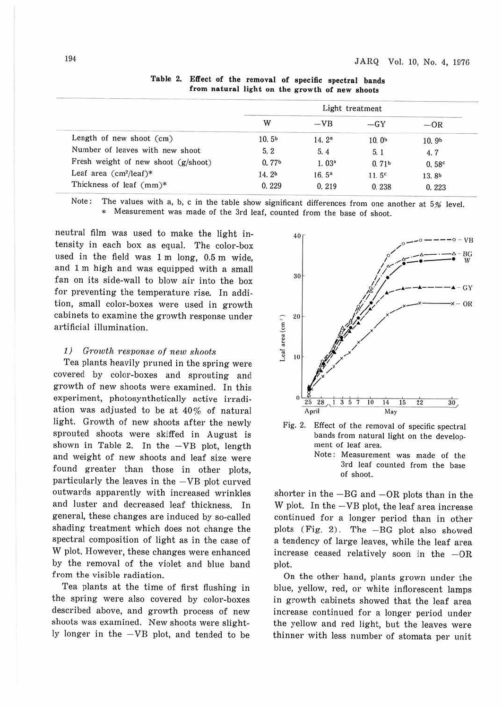|                                     | Light treatment   |                   |                   |                   |
|-------------------------------------|-------------------|-------------------|-------------------|-------------------|
|                                     | W                 | $-VB$             | $-GY$             | $-OR$             |
| Length of new shoot $(cm)$          | 10.5 <sup>b</sup> | 14.2 <sup>a</sup> | 10.0 <sub>b</sub> | 10.9 <sub>b</sub> |
| Number of leaves with new shoot     | 5.2               | 5.4               | 5.1               | 4.7               |
| Fresh weight of new shoot (g/shoot) | 0.77 <sup>b</sup> | 1.03 <sup>a</sup> | 0.71 <sup>b</sup> | 0.58 <sup>c</sup> |
| Leaf area $(cm^2/leaf)*$            | 14.2 <sup>b</sup> | 16.5 <sup>a</sup> | 11.5 <sup>c</sup> | 13.8 <sup>b</sup> |
| Thickness of leaf (mm)*             | 0.229             | 0.219             | 0.238             | 0.223             |

**Table** 2. **Effect of the removal of specific spectral bands from natural light on the growth of new shoots** 

Note: The values with a, b, c in the table show significant differences from one another at 5% level. \* Measurement was made of the 3rd leaf, counted from the base of shoot.

neutral film was used to make the light intensity in each box as equal. The color-box used in the field was 1 m long, 0.5 m wide, and 1 m high and was equipped with a small fan on its side-wall to blow air into the box for preventing the temperature rise. In addition, small color-boxes were used in growth cabinets to examine the growth response under artificial illumination.

## *1) Growth resvonse of new shoots*

Tea plants heavily pruned in the spring were covered by color-boxes and sprouting and growth of new shoots were examined. In this experiment, photosynthetically active irradiation was adjusted to be at 40% of natural light. Growth of new shoots after the newly sprouted shoots were skiffed in August is shown in Table 2. In the  $-\text{VB}$  plot, length and weight of new shoots and leaf size were found greater than those in other plots, particularly the leaves in the  $-\text{VB}$  plot curved outwards apparently with increased wrinkles and luster and decreased leaf thickness. In general, these changes are induced by so-called shading treatment which does not change the spectral composition of light as in the case of W plot. However, these changes were enhanced by the removal of the violet and blue band from the visible radiation.

Tea plants at the time of first flushing in the spring were also covered by color-boxes described above, and growth process of new shoots was examined. New shoots were slightly longer in the  $-VB$  plot, and tended to be





of shoot.

shorter in the  $-BG$  and  $-OR$  plots than in the W plot. In the -VB plot, the leaf area increase continued for a longer period than in other plots (Fig. 2). The -BG plot also showed a tendency of large leaves, while the leaf area increase ceased relatively soon in the  $-OR$ plot.

On the other hand, plants grown under the blue, yellow, red, or white inflorescent lamps in growth cabinets showed that the leaf area increase continued for a longer period under the yellow and red light, but the leaves were thinner with less number of stomata per unit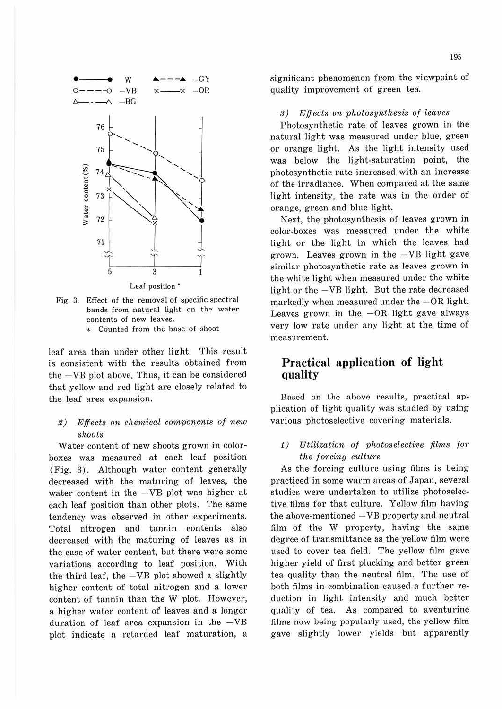

Fig. 3. Effect of the removal of specific spectral bands from natural light on the water contents of new leaves. Counted from the base of shoot

leaf area than under other light. This result is consistent with the results obtained from the - VB plot above. Thus, it can be considered that yellow and red light are closely related to the leaf area expansion.

### $2)$  Effects on chemical components of new shoots

Water content of new shoots grown in colorboxes was measured at each leaf position (Fig. 3). Although water content generally decreased with the maturing of leaves, the water content in the  $-\text{VB}$  plot was higher at each leaf position than other plots. The same tendency was observed in other experiments. Total nitrogen and tannin contents also decreased with the maturing of leaves as in the case of water content, but there were some variations according to leaf position. With the third leaf, the  $-\text{VB}$  plot showed a slightly higher content of total nitrogen and a lower content of tannin than the W plot. However, a higher water content of leaves and a longer duration of leaf area expansion in the  $-\text{VB}$ plot indicate a retarded leaf maturation, a

significant phenomenon from the viewpoint of quality improvement of green tea.

#### *.'J)* Effects on photosynthesis of leaves

Photosynthetic rate of leaves grown in the natural light was measured under blue, green or orange light. As the light intensity used was below the light-saturation point, the photosynthetic rate increased with an increase of the irradiance. When compared at the same light intensity, the rate was in the order of orange, green and blue light.

Next, the photosynthesis of leaves grown in color-boxes was measured under the white light or the light in which the leaves had grown. Leaves grown in the  $-\text{VB}$  light gave similar photosynthetic rate as leaves grown in the white light when measured under the white light or the - VB light. But the rate decreased markedly when measured under the  $-OR$  light. Leaves grown in the  $-OR$  light gave always very low rate under any light at the time of measurement.

## **Practical application of light quality**

Based on the above results, practical application of light quality was studied by using various photoselective covering materials.

1) Utilization of photoselective films for the forcing culture

As the forcing culture using films is being practiced in some warm areas of Japan, several studies were undertaken to utilize photoselective films for that culture. Yellow film having the above-mentioned  $-\text{VB}$  property and neutral film of the W property, having the same degree of transmittance as the yellow film were used to cover tea field. The yellow film gave higher yield of first plucking and better green tea quality than the neutral film. The use of both films in combination caused a further reduction in light intensity and much better quality of tea. As compared to aventurine films now being popularly used, the yellow film gave slightly lower yields but apparently